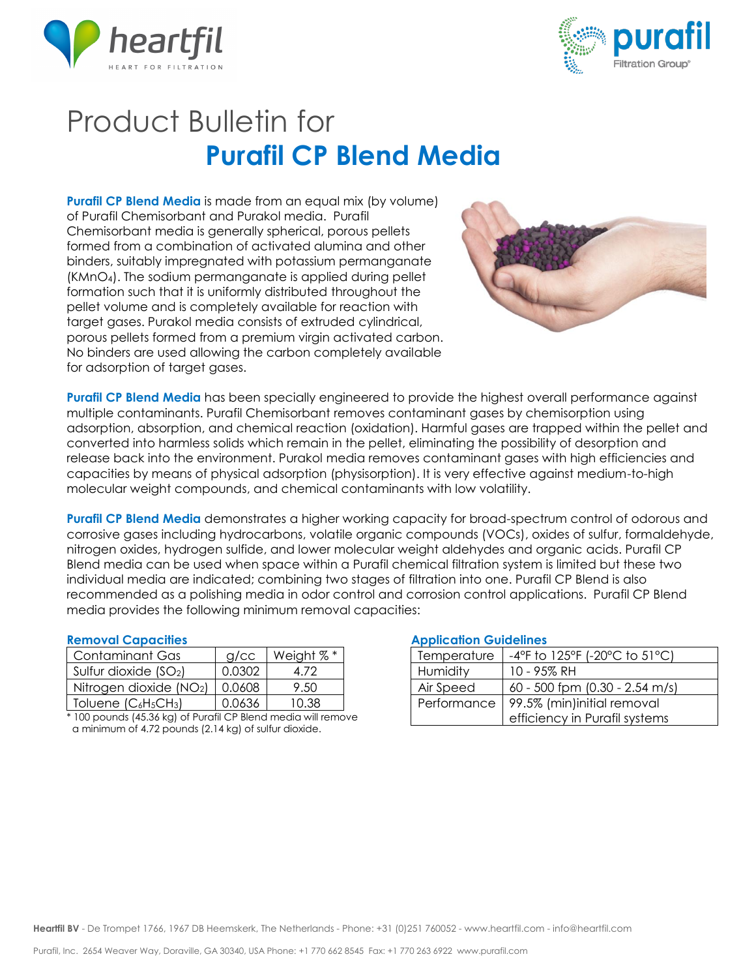



# Product Bulletin for **Purafil CP Blend Media**

**Purafil CP Blend Media** is made from an equal mix (by volume) of Purafil Chemisorbant and Purakol media. Purafil Chemisorbant media is generally spherical, porous pellets formed from a combination of activated alumina and other binders, suitably impregnated with potassium permanganate (KMnO4). The sodium permanganate is applied during pellet formation such that it is uniformly distributed throughout the pellet volume and is completely available for reaction with target gases. Purakol media consists of extruded cylindrical, porous pellets formed from a premium virgin activated carbon. No binders are used allowing the carbon completely available for adsorption of target gases.



**Purafil CP Blend Media** has been specially engineered to provide the highest overall performance against multiple contaminants. Purafil Chemisorbant removes contaminant gases by chemisorption using adsorption, absorption, and chemical reaction (oxidation). Harmful gases are trapped within the pellet and converted into harmless solids which remain in the pellet, eliminating the possibility of desorption and release back into the environment. Purakol media removes contaminant gases with high efficiencies and capacities by means of physical adsorption (physisorption). It is very effective against medium-to-high molecular weight compounds, and chemical contaminants with low volatility.

**Purafil CP Blend Media** demonstrates a higher working capacity for broad-spectrum control of odorous and corrosive gases including hydrocarbons, volatile organic compounds (VOCs), oxides of sulfur, formaldehyde, nitrogen oxides, hydrogen sulfide, and lower molecular weight aldehydes and organic acids. Purafil CP Blend media can be used when space within a Purafil chemical filtration system is limited but these two individual media are indicated; combining two stages of filtration into one. Purafil CP Blend is also recommended as a polishing media in odor control and corrosion control applications. Purafil CP Blend media provides the following minimum removal capacities:

#### **Removal Capacities**

| Contaminant Gas                                          | $g$ / $cc$ | Weight %* |
|----------------------------------------------------------|------------|-----------|
| Sulfur dioxide $(SO2)$                                   | 0.0302     | 4 72      |
| Nitrogen dioxide (NO2)                                   | 0.0608     | 9.50      |
| Toluene (C <sub>6</sub> H <sub>5</sub> CH <sub>3</sub> ) | 0.0636     | 10 38     |

\* 100 pounds (45.36 kg) of Purafil CP Blend media will remove a minimum of 4.72 pounds (2.14 kg) of sulfur dioxide.

### **Application Guidelines**

| Temperature | -4°F to 125°F (-20°C to 51°C)  |  |
|-------------|--------------------------------|--|
| Humidity    | 10 - 95% RH                    |  |
| Air Speed   | 60 - 500 fpm (0.30 - 2.54 m/s) |  |
| Performance | 99.5% (min)initial removal     |  |
|             | efficiency in Purafil systems  |  |